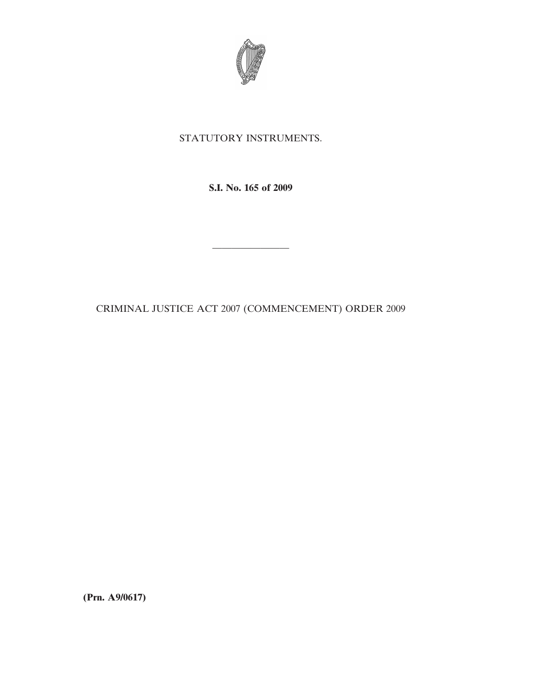

## STATUTORY INSTRUMENTS.

**S.I. No. 165 of 2009**

CRIMINAL JUSTICE ACT 2007 (COMMENCEMENT) ORDER 2009

————————

**(Prn. A9/0617)**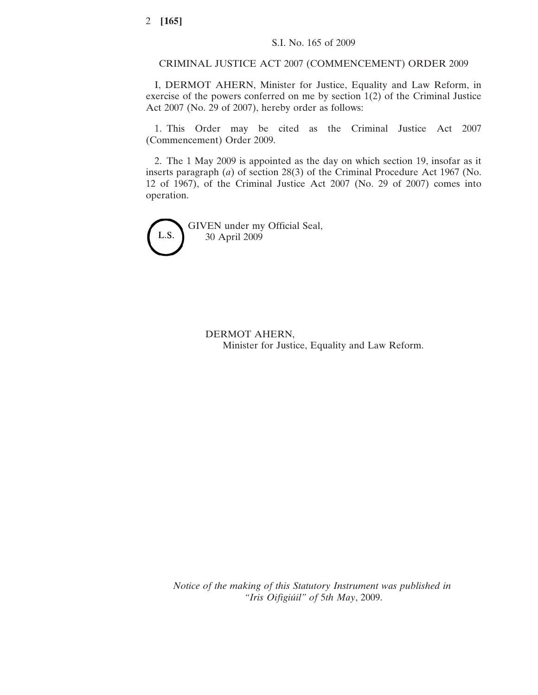## CRIMINAL JUSTICE ACT 2007 (COMMENCEMENT) ORDER 2009

I, DERMOT AHERN, Minister for Justice, Equality and Law Reform, in exercise of the powers conferred on me by section 1(2) of the Criminal Justice Act 2007 (No. 29 of 2007), hereby order as follows:

1. This Order may be cited as the Criminal Justice Act 2007 (Commencement) Order 2009.

2. The 1 May 2009 is appointed as the day on which section 19, insofar as it inserts paragraph (*a*) of section 28(3) of the Criminal Procedure Act 1967 (No. 12 of 1967), of the Criminal Justice Act 2007 (No. 29 of 2007) comes into operation.

L.S.

GIVEN under my Official Seal, 30 April 2009

> DERMOT AHERN, Minister for Justice, Equality and Law Reform.

*Notice of the making of this Statutory Instrument was published in "Iris Oifigiu´il" of* 5*th May*, 2009.